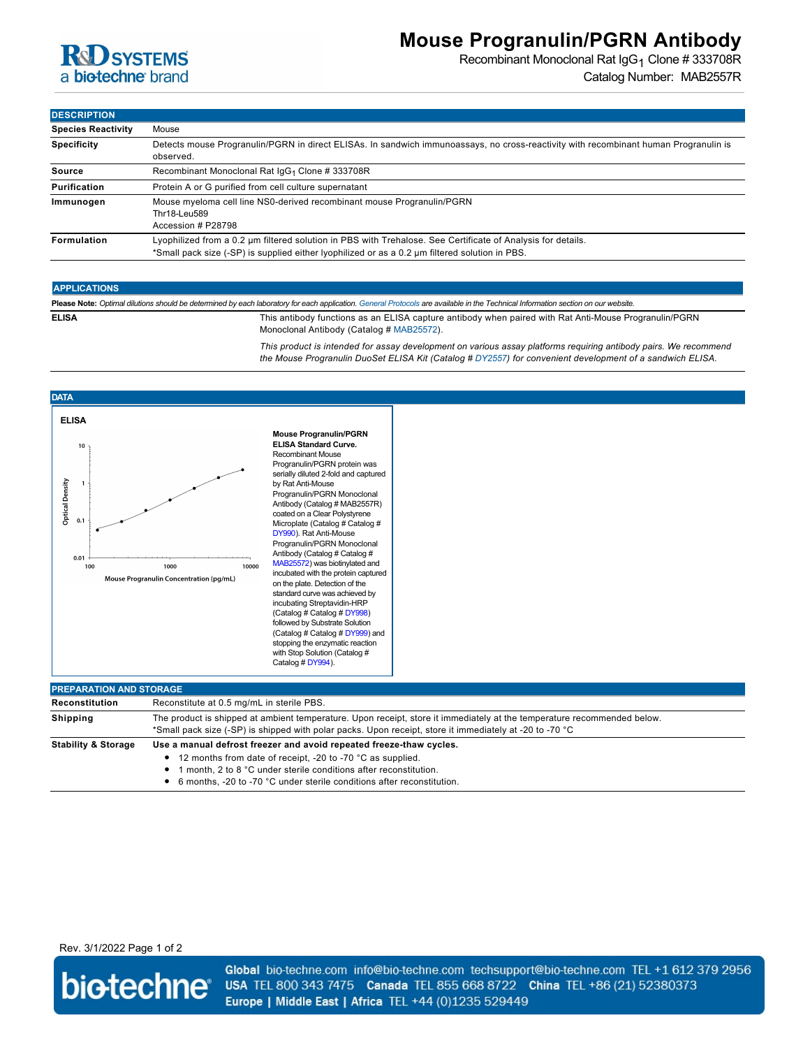

## **Mouse Progranulin/PGRN Antibody**

Recombinant Monoclonal Rat IgG<sub>1</sub> Clone # 333708R Catalog Number: MAB2557R

**DESCRIPTION**

| <b>Species Reactivity</b> | Mouse                                                                                                                                                                                                         |
|---------------------------|---------------------------------------------------------------------------------------------------------------------------------------------------------------------------------------------------------------|
| <b>Specificity</b>        | Detects mouse Progranulin/PGRN in direct ELISAs. In sandwich immunoassays, no cross-reactivity with recombinant human Progranulin is<br>observed.                                                             |
| Source                    | Recombinant Monoclonal Rat IgG <sub>1</sub> Clone # 333708R                                                                                                                                                   |
| Purification              | Protein A or G purified from cell culture supernatant                                                                                                                                                         |
| Immunogen                 | Mouse myeloma cell line NS0-derived recombinant mouse Progranulin/PGRN<br>Thr18-Leu589<br>Accession # P28798                                                                                                  |
| Formulation               | Lyophilized from a 0.2 µm filtered solution in PBS with Trehalose. See Certificate of Analysis for details.<br>*Small pack size (-SP) is supplied either lyophilized or as a 0.2 um filtered solution in PBS. |

### **APPLICATIONS**

**Please Note:** *Optimal dilutions should be determined by each laboratory for each application. [General Protocols](http://www.rndsystems.com/resources/protocols-troubleshooting-guides) are available in the Technical Information section on our website.*

**ELISA** This antibody functions as an ELISA capture antibody when paired with Rat Anti-Mouse Progranulin/PGRN Monoclonal Antibody (Catalog # [MAB25572\)](http://www.rndsystems.com/search?keywords=MAB25572).

> *This product is intended for assay development on various assay platforms requiring antibody pairs. We recommend the Mouse Progranulin DuoSet ELISA Kit (Catalog # [DY2557](http://www.rndsystems.com/product_results.aspx?k=DY2557)) for convenient development of a sandwich ELISA.*



| IF NEFANATION AND STONAGE.     |                                                                                                                                                                                                                                                                                        |
|--------------------------------|----------------------------------------------------------------------------------------------------------------------------------------------------------------------------------------------------------------------------------------------------------------------------------------|
| Reconstitution                 | Reconstitute at 0.5 mg/mL in sterile PBS.                                                                                                                                                                                                                                              |
| Shipping                       | The product is shipped at ambient temperature. Upon receipt, store it immediately at the temperature recommended below.<br>*Small pack size (-SP) is shipped with polar packs. Upon receipt, store it immediately at -20 to -70 °C                                                     |
| <b>Stability &amp; Storage</b> | Use a manual defrost freezer and avoid repeated freeze-thaw cycles.<br>• 12 months from date of receipt, -20 to -70 °C as supplied.<br>• 1 month, 2 to 8 °C under sterile conditions after reconstitution.<br>• 6 months, -20 to -70 °C under sterile conditions after reconstitution. |

Rev. 3/1/2022 Page 1 of 2



Global bio-techne.com info@bio-techne.com techsupport@bio-techne.com TEL +1 612 379 2956 USA TEL 800 343 7475 Canada TEL 855 668 8722 China TEL +86 (21) 52380373 Europe | Middle East | Africa TEL +44 (0)1235 529449